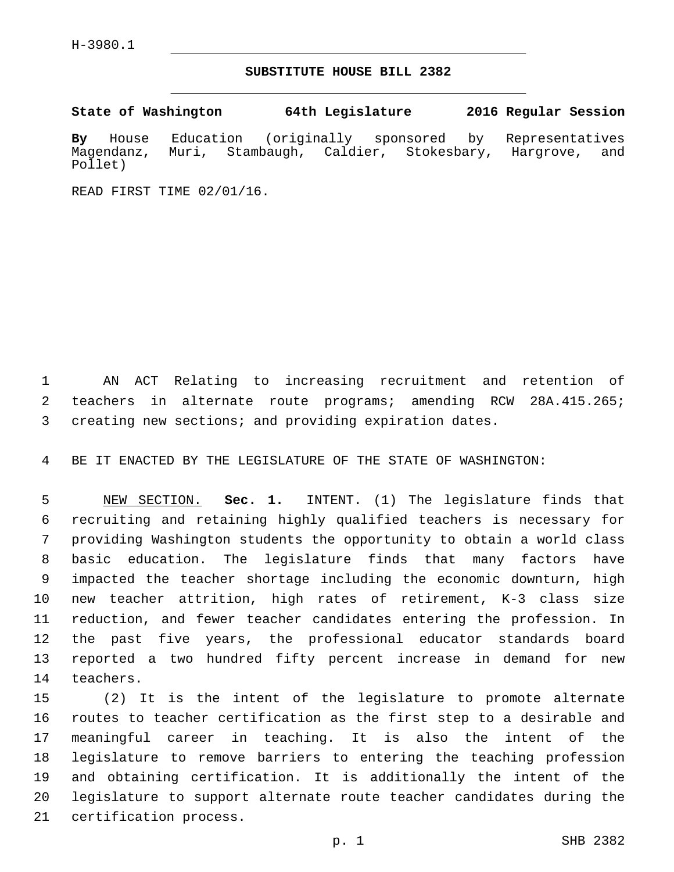## **SUBSTITUTE HOUSE BILL 2382**

**State of Washington 64th Legislature 2016 Regular Session**

**By** House Education (originally sponsored by Representatives Magendanz, Muri, Stambaugh, Caldier, Stokesbary, Hargrove, and Pollet)

READ FIRST TIME 02/01/16.

 AN ACT Relating to increasing recruitment and retention of teachers in alternate route programs; amending RCW 28A.415.265; creating new sections; and providing expiration dates.

BE IT ENACTED BY THE LEGISLATURE OF THE STATE OF WASHINGTON:

 NEW SECTION. **Sec. 1.** INTENT. (1) The legislature finds that recruiting and retaining highly qualified teachers is necessary for providing Washington students the opportunity to obtain a world class basic education. The legislature finds that many factors have impacted the teacher shortage including the economic downturn, high new teacher attrition, high rates of retirement, K-3 class size reduction, and fewer teacher candidates entering the profession. In the past five years, the professional educator standards board reported a two hundred fifty percent increase in demand for new teachers.

 (2) It is the intent of the legislature to promote alternate routes to teacher certification as the first step to a desirable and meaningful career in teaching. It is also the intent of the legislature to remove barriers to entering the teaching profession and obtaining certification. It is additionally the intent of the legislature to support alternate route teacher candidates during the 21 certification process.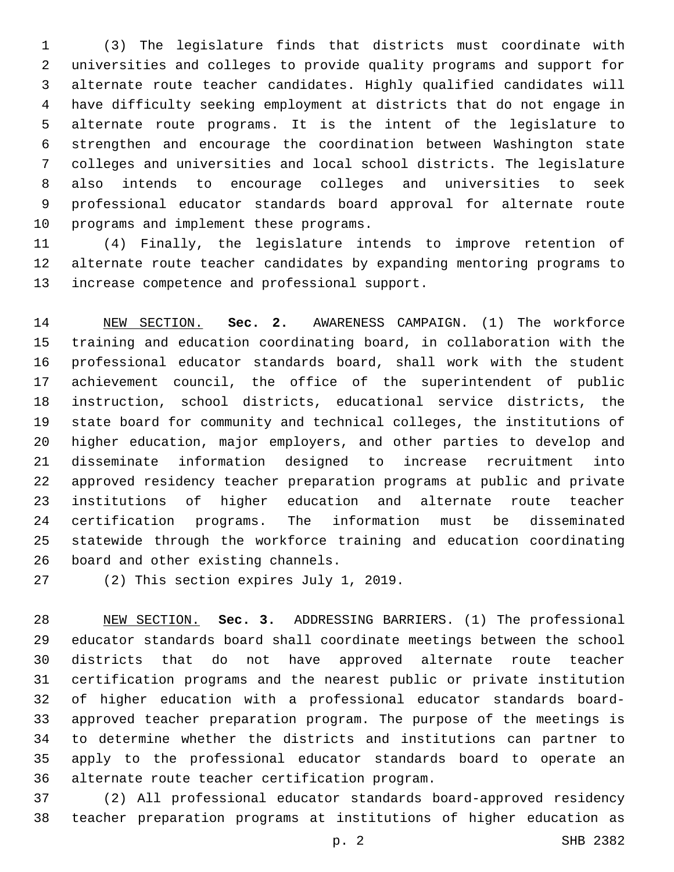(3) The legislature finds that districts must coordinate with universities and colleges to provide quality programs and support for alternate route teacher candidates. Highly qualified candidates will have difficulty seeking employment at districts that do not engage in alternate route programs. It is the intent of the legislature to strengthen and encourage the coordination between Washington state colleges and universities and local school districts. The legislature also intends to encourage colleges and universities to seek professional educator standards board approval for alternate route 10 programs and implement these programs.

 (4) Finally, the legislature intends to improve retention of alternate route teacher candidates by expanding mentoring programs to 13 increase competence and professional support.

 NEW SECTION. **Sec. 2.** AWARENESS CAMPAIGN. (1) The workforce training and education coordinating board, in collaboration with the professional educator standards board, shall work with the student achievement council, the office of the superintendent of public instruction, school districts, educational service districts, the state board for community and technical colleges, the institutions of higher education, major employers, and other parties to develop and disseminate information designed to increase recruitment into approved residency teacher preparation programs at public and private institutions of higher education and alternate route teacher certification programs. The information must be disseminated statewide through the workforce training and education coordinating 26 board and other existing channels.

27 (2) This section expires July 1, 2019.

 NEW SECTION. **Sec. 3.** ADDRESSING BARRIERS. (1) The professional educator standards board shall coordinate meetings between the school districts that do not have approved alternate route teacher certification programs and the nearest public or private institution of higher education with a professional educator standards board- approved teacher preparation program. The purpose of the meetings is to determine whether the districts and institutions can partner to apply to the professional educator standards board to operate an alternate route teacher certification program.

 (2) All professional educator standards board-approved residency teacher preparation programs at institutions of higher education as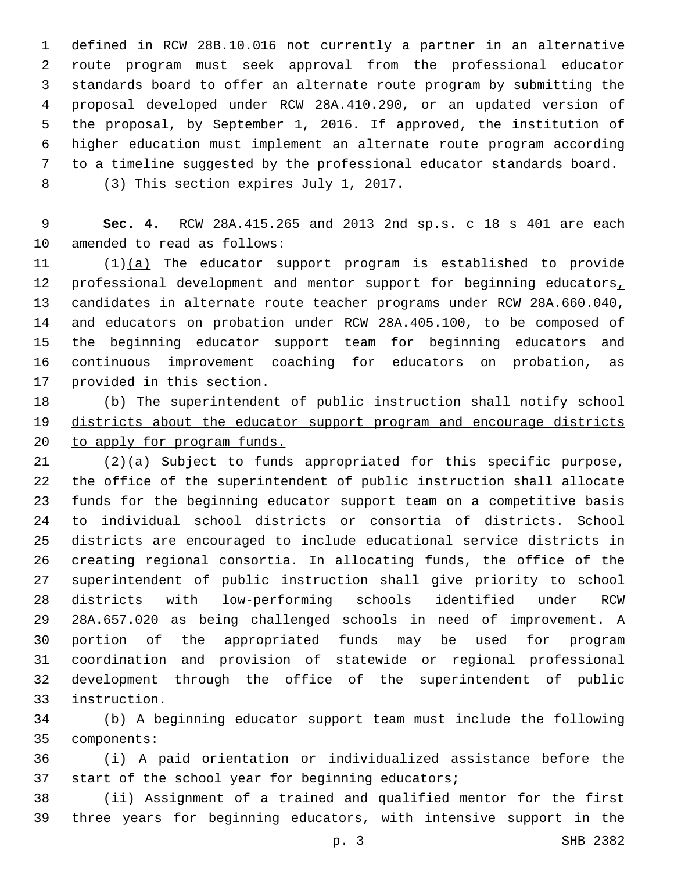defined in RCW 28B.10.016 not currently a partner in an alternative route program must seek approval from the professional educator standards board to offer an alternate route program by submitting the proposal developed under RCW 28A.410.290, or an updated version of the proposal, by September 1, 2016. If approved, the institution of higher education must implement an alternate route program according to a timeline suggested by the professional educator standards board. 8 (3) This section expires July 1, 2017.

 **Sec. 4.** RCW 28A.415.265 and 2013 2nd sp.s. c 18 s 401 are each 10 amended to read as follows:

 (1)(a) The educator support program is established to provide 12 professional development and mentor support for beginning educators, candidates in alternate route teacher programs under RCW 28A.660.040, and educators on probation under RCW 28A.405.100, to be composed of the beginning educator support team for beginning educators and continuous improvement coaching for educators on probation, as 17 provided in this section.

 (b) The superintendent of public instruction shall notify school districts about the educator support program and encourage districts to apply for program funds.

 (2)(a) Subject to funds appropriated for this specific purpose, the office of the superintendent of public instruction shall allocate funds for the beginning educator support team on a competitive basis to individual school districts or consortia of districts. School districts are encouraged to include educational service districts in creating regional consortia. In allocating funds, the office of the superintendent of public instruction shall give priority to school districts with low-performing schools identified under RCW 28A.657.020 as being challenged schools in need of improvement. A portion of the appropriated funds may be used for program coordination and provision of statewide or regional professional development through the office of the superintendent of public instruction.33

 (b) A beginning educator support team must include the following 35 components:

 (i) A paid orientation or individualized assistance before the 37 start of the school year for beginning educators;

 (ii) Assignment of a trained and qualified mentor for the first three years for beginning educators, with intensive support in the

p. 3 SHB 2382